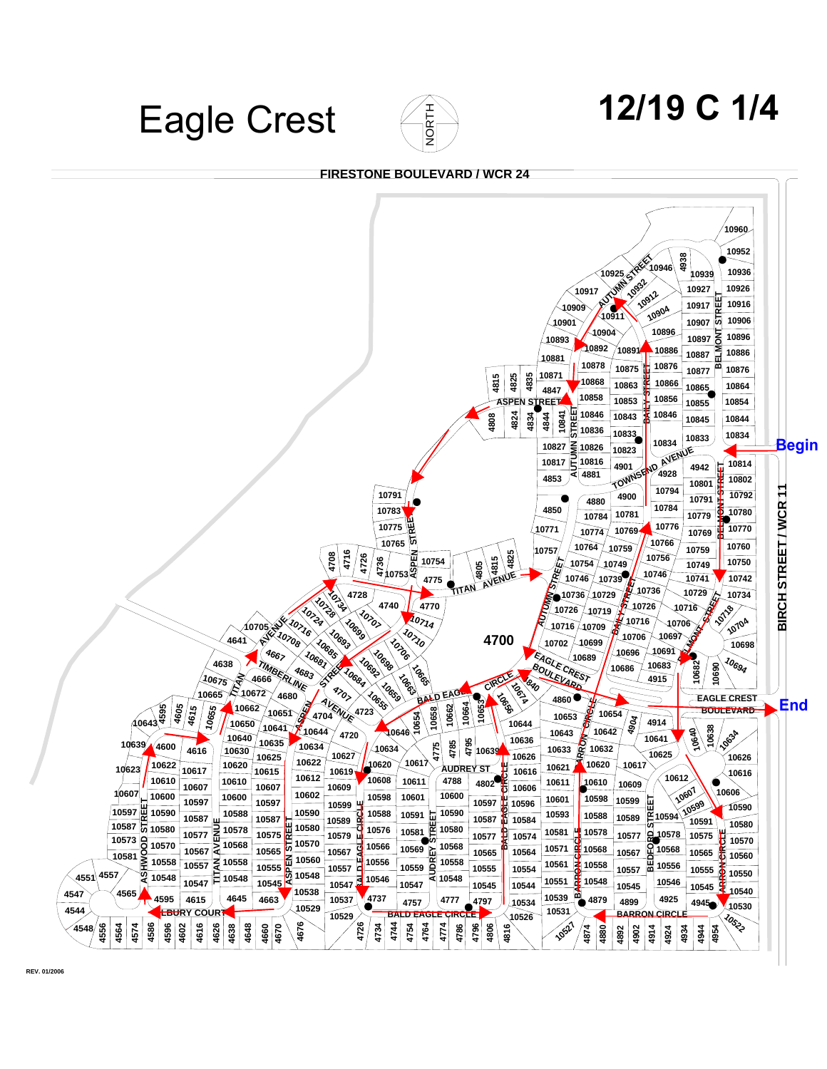## **12/19 C 1/4 <sup>10939</sup> FIRESTONE BOULEVARD / WCR 24** H<br>NORTH Eagle Crest

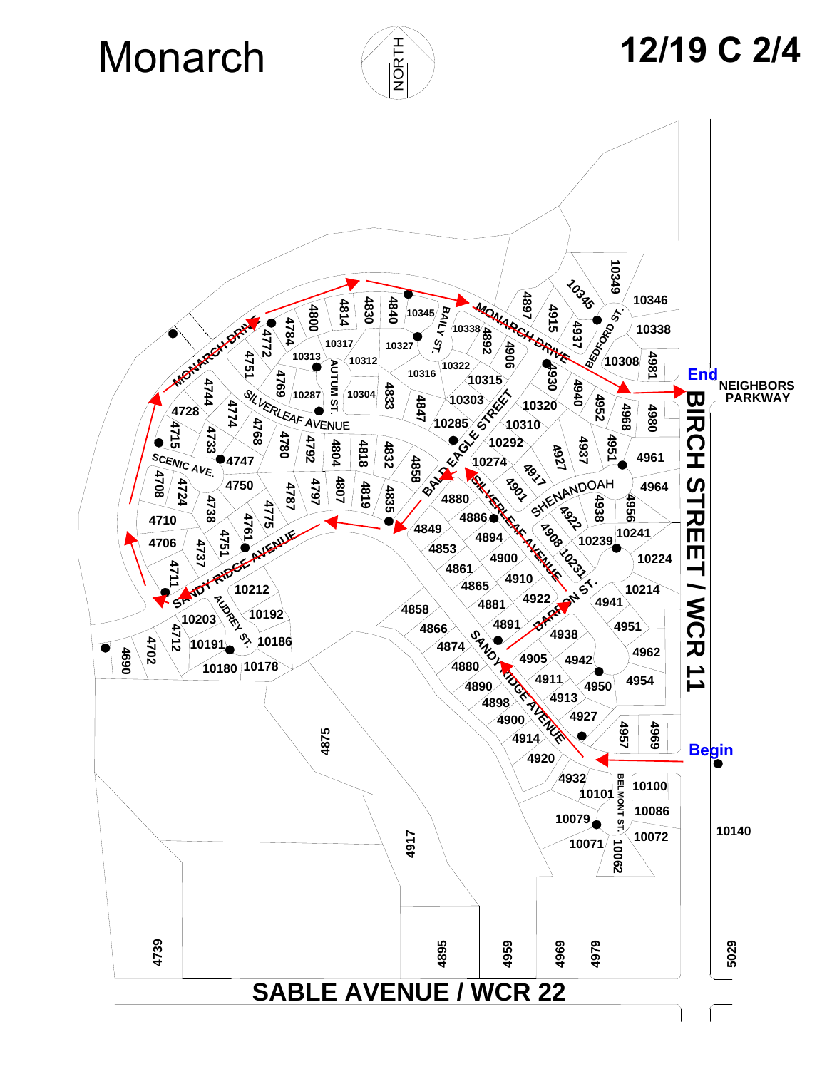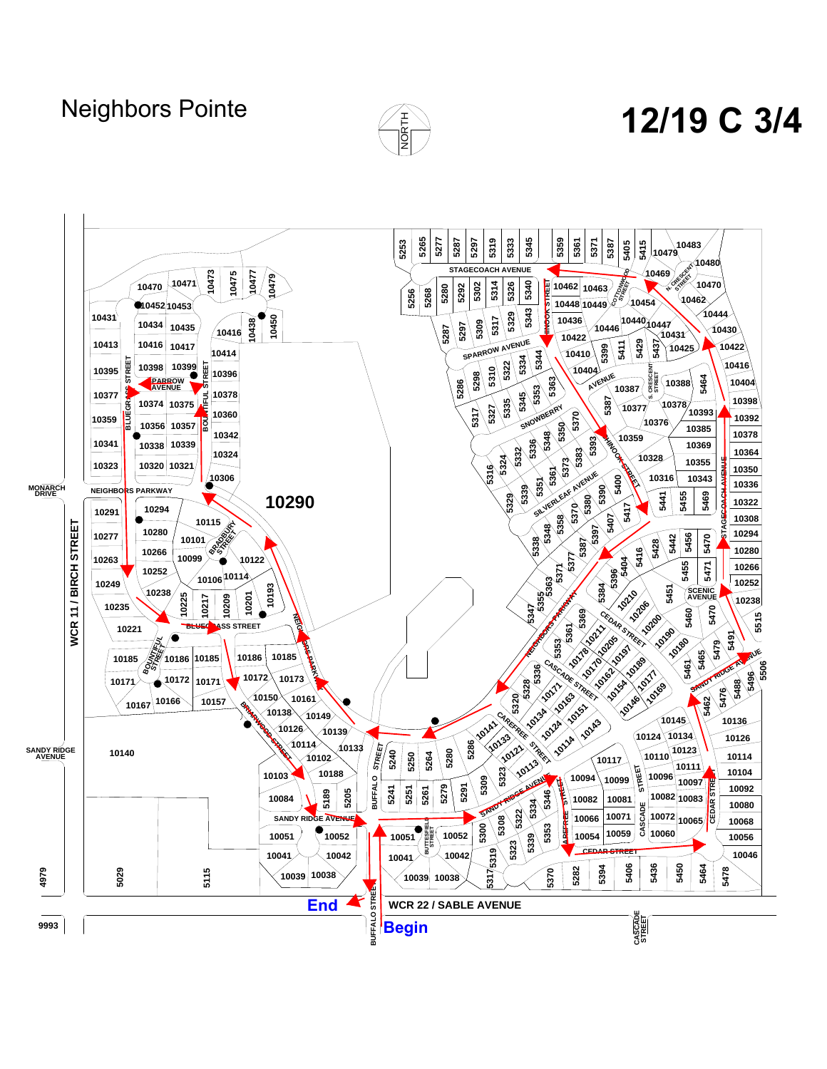## Neighbors Pointe



## **12/19 C 3/4**